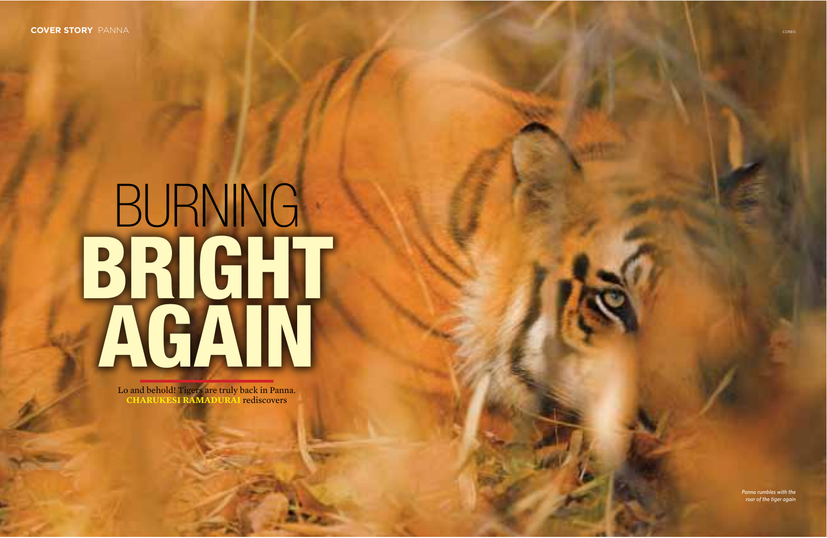# **BURNING** BRIGHT

Lo and behold! Tigers are truly back in Panna.<br>CHARUKESI RAMADURAI rediscovers

Panna rumbles with the roar of the tiger again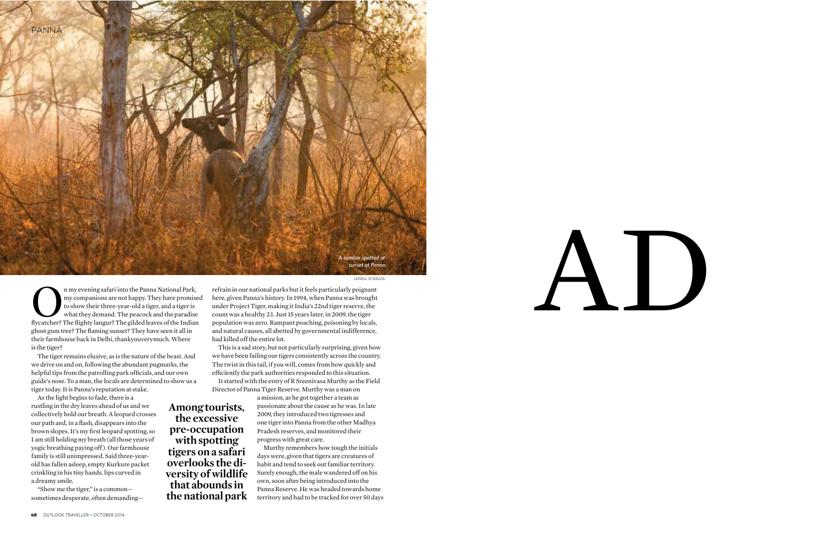

LOVELL D'SOUZA

fluxer may evening safari into the Panna National Park,<br>my companions are not happy. They have promise<br>to show their three-year-old a tiger, and a tiger is<br>what they demand. The peacock and the paradise<br>flycatcher? The fli ghost gum tree? The flaming sunset? They have seen it all in their farmhouse back in Delhi, thankyouverymuch. Where is the tiger? my companions are not happy. They have promised to show their three-year-old a tiger, and a tiger is what they demand. The peacock and the paradise

The tiger remains elusive, as is the nature of the beast. And we drive on and on, following the abundant pugmarks, the helpful tips from the patrolling park officials, and our own guide's nose. To a man, the locals are determined to show us a tiger today. It is Panna's reputation at stake.

As the light begins to fade, there is a rustling in the dry leaves ahead of us and we collectively hold our breath. A leopard crosses our path and, in a flash, disappears into the brown slopes. It's my first leopard spotting, so I am still holding my breath (all those years of yogic breathing paying off ). Our farmhouse family is still unimpressed. Said three-yearold has fallen asleep, empty Kurkure packet crinkling in his tiny hands, lips curved in a dreamy smile.

"Show me the tiger," is a common sometimes desperate, often demanding—

**Among tourists, the excessive pre-occupation with spotting tigers on a safari overlooks the diversity of wildlife that abounds in the national park**

refrain in our national parks but it feels particularly poignant here, given Panna's history. In 1994, when Panna was brought under Project Tiger, making it India's 22nd tiger reserve, the count was a healthy 23. Just 15 years later, in 2009, the tiger population was zero. Rampant poaching, poisoning by locals, and natural causes, all abetted by governmental indifference, had killed off the entire lot.

This is a sad story, but not particularly surprising, given how we have been failing our tigers consistently across the country. The twist in this tail, if you will, comes from how quickly and efficiently the park authorities responded to this situation.

It started with the entry of R Sreenivasa Murthy as the Field Director of Panna Tiger Reserve. Murthy was a man on

> a mission, as he got together a team as passionate about the cause as he was. In late 2009, they introduced two tigresses and one tiger into Panna from the other Madhya Pradesh reserves, and monitored their progress with great care.

Murthy remembers how tough the initials days were, given that tigers are creatures of habit and tend to seek out familiar territory. Surely enough, the male wandered off on his own, soon after being introduced into the Panna Reserve. He was headed towards home territory and had to be tracked for over 50 days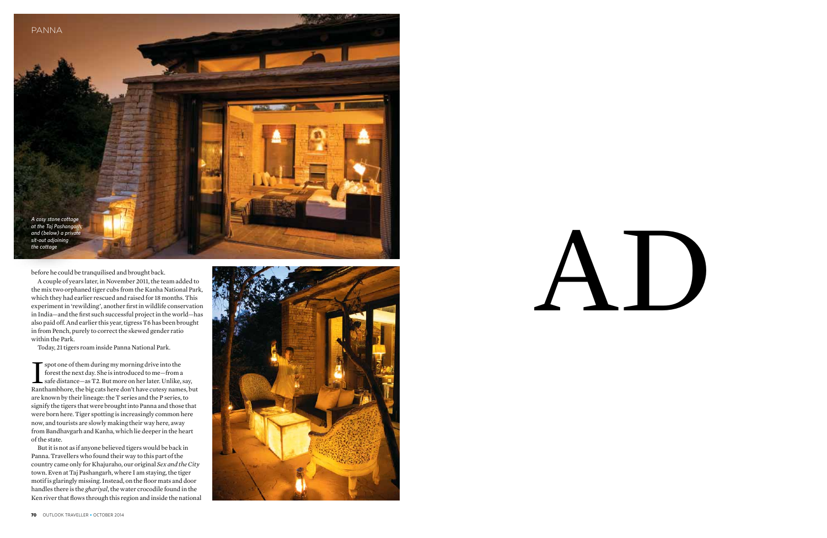

before he could be tranquilised and brought back.

A couple of years later, in November 2011, the team added to the mix two orphaned tiger cubs from the Kanha National Park, which they had earlier rescued and raised for 18 months. This experiment in 'rewilding', another first in wildlife conservation in India-and the first such successful project in the world-has also paid off. And earlier this year, tigress T6 has been brought in from Pench, purely to correct the skewed gender ratio within the Park.

Today, 21 tigers roam inside Panna National Park.

spot one of them during my morning drive into the forest the next day. She is introduced to me-from a safe distance-as T2. But more on her later. Unlike, say, Ranthambhore, the big cats here don't have cutesy names, but are known by their lineage: the T series and the P series, to signify the tigers that were brought into Panna and those that were born here. Tiger spotting is increasingly common here now, and tourists are slowly making their way here, away from Bandhavgarh and Kanha, which lie deeper in the heart of the state.

But it is not as if anyone believed tigers would be back in Panna. Travellers who found their way to this part of the country came only for Khajuraho, our original Sex and the City town. Even at Taj Pashangarh, where I am staying, the tiger motif is glaringly missing. Instead, on the floor mats and door handles there is the ghariyal, the water crocodile found in the Ken river that flows through this region and inside the national

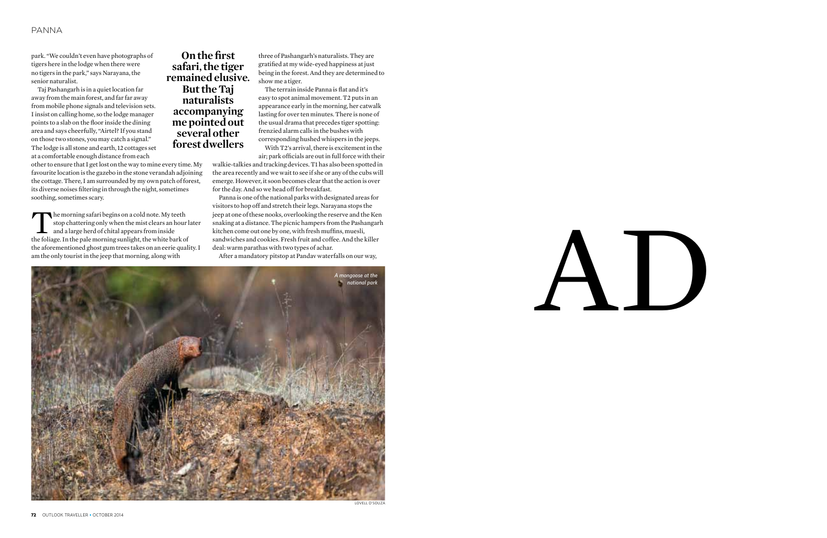# PANNA

park. "We couldn't even have photographs of tigers here in the lodge when there were no tigers in the park," says Narayana, the senior naturalist.

Taj Pashangarh is in a quiet location far away from the main forest, and far far away from mobile phone signals and television sets. I insist on calling home, so the lodge manager points to a slab on the floor inside the dining area and says cheerfully, "Airtel? If you stand on those two stones, you may catch a signal." The lodge is all stone and earth, 12 cottages set at a comfortable enough distance from each

other to ensure that I get lost on the way to mine every time. My favourite location is the gazebo in the stone verandah adjoining the cottage. There, I am surrounded by my own patch of forest, its diverse noises filtering in through the night, sometimes soothing, sometimes scary.

The morning safari begins on a cold note. My teeth<br>stop chattering only when the mist clears an hour<br>and a large herd of chital appears from inside<br>the foliage. In the pale morning sunlight, the white bark of stop chattering only when the mist clears an hour later and a large herd of chital appears from inside the foliage. In the pale morning sunlight, the white bark of the aforementioned ghost gum trees takes on an eerie quality. I am the only tourist in the jeep that morning, along with

**On the first safari, the tiger remained elusive. But the Taj naturalists accompanying me pointed out several other forest dwellers**

three of Pashangarh's naturalists. They are gratified at my wide-eyed happiness at just being in the forest. And they are determined to show me a tiger.

The terrain inside Panna is flat and it's easy to spot animal movement. T2 puts in an appearance early in the morning, her catwalk lasting for over ten minutes. There is none of the usual drama that precedes tiger spotting: frenzied alarm calls in the bushes with corresponding hushed whispers in the jeeps.

With T2's arrival, there is excitement in the air; park officials are out in full force with their

walkie-talkies and tracking devices. T1 has also been spotted in the area recently and we wait to see if she or any of the cubs will emerge. However, it soon becomes clear that the action is over for the day. And so we head off for breakfast.

Panna is one of the national parks with designated areas for visitors to hop off and stretch their legs. Narayana stops the jeep at one of these nooks, overlooking the reserve and the Ken snaking at a distance. The picnic hampers from the Pashangarh kitchen come out one by one, with fresh muffins, muesli, sandwiches and cookies. Fresh fruit and coffee. And the killer deal: warm parathas with two types of achar.

After a mandatory pitstop at Pandav waterfalls on our way,